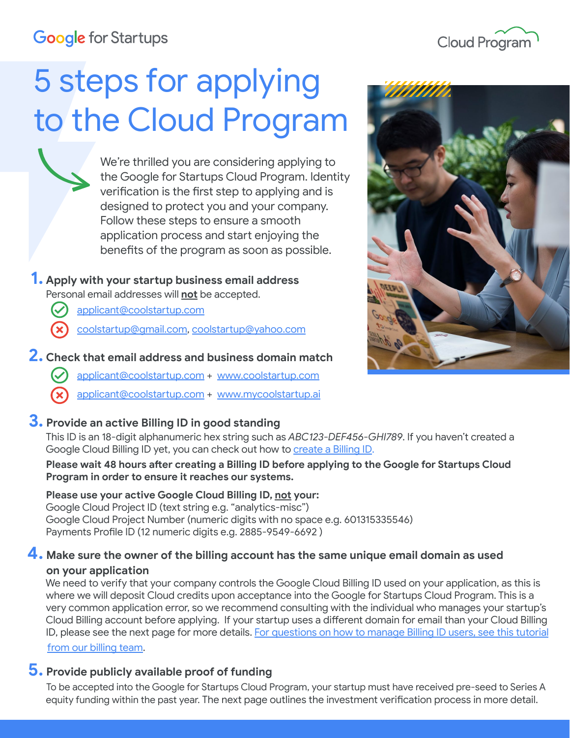## **Google** for Startups



# 5 steps for applying to the Cloud Program

We're thrilled you are considering applying to the Google for Startups Cloud Program. Identity verification is the first step to applying and is designed to protect you and your company. Follow these steps to ensure a smooth application process and start enjoying the benefits of the program as soon as possible.

### **1. Apply with your startup business email address**

Personal email addresses will **not** be accepted.

- [applicant@coolstartup.com](mailto:applicant@coolstartup.com)
- [coolstartup@gmail.com](mailto:coolstartup@gmail.com), [coolstartup@yahoo.com](mailto:coolstartup@yahoo.com)

#### **2. Check that email address and business domain match**

- [applicant@coolstartup.com](mailto:applicant@coolstartup.com) + [www.coolstartup.com](http://www.coolstartup.com)
- [applicant@coolstartup.com](mailto:applicant@coolstartup.com) + [www.mycoolstartup.ai](http://www.coolstartup.com)



## **3. Provide an active Billing ID in good standing**

This ID is an 18-digit alphanumeric hex string such as *ABC123-DEF456-GHI789*. If you haven't created a Google Cloud Billing ID yet, you can check out how to [create a Billing ID.](https://www.youtube.com/watch?v=NeRYUoR4u0s&t=85s)

 **Please wait 48 hours after creating a Billing ID before applying to the Google for Startups Cloud Program in order to ensure it reaches our systems.** 

#### **Please use your active Google Cloud Billing ID, not your:**

 Google Cloud Project ID (text string e.g. "analytics-misc") Google Cloud Project Number (numeric digits with no space e.g. 601315335546) Payments Profile ID (12 numeric digits e.g. 2885-9549-6692 )

#### **4. Make sure the owner of the billing account has the same unique email domain as used on your application**

 We need to verify that your company controls the Google Cloud Billing ID used on your application, as this is where we will deposit Cloud credits upon acceptance into the Google for Startups Cloud Program. This is a very common application error, so we recommend consulting with the individual who manages your startup's Cloud Billing account before applying. If your startup uses a different domain for email than your Cloud Billing ID, please see the next page for more details. [For questions on how to manage Billing ID users, see this tutorial](https://www.youtube.com/watch?v=8oddPqo-lsY) [from our billing team.](https://www.youtube.com/watch?v=8oddPqo-lsY)

#### **5. Provide publicly available proof of funding**

To be accepted into the Google for Startups Cloud Program, your startup must have received pre-seed to Series A equity funding within the past year. The next page outlines the investment verification process in more detail.